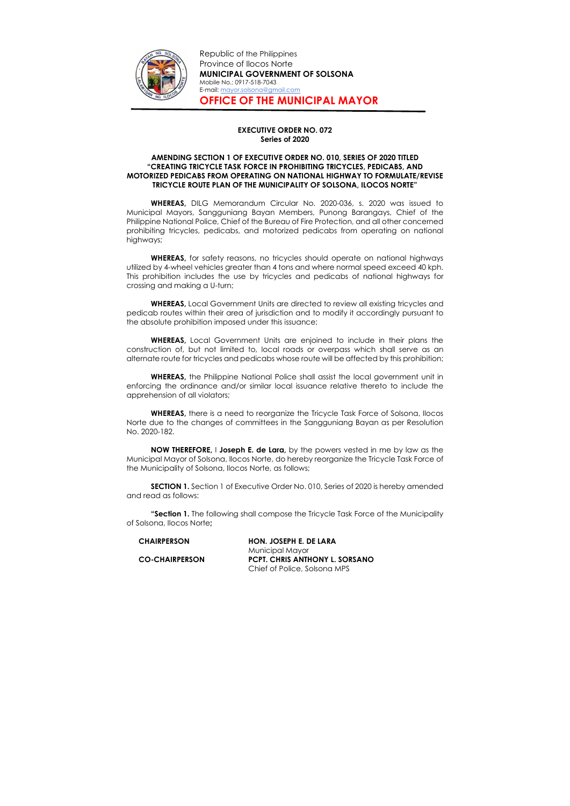

Republic of the Philippines Province of Ilocos Norte MUNICIPAL GOVERNMENT OF SOLSONA Mobile No.: 0917-518-7043 E-mail: mayor.solsona@gmail.com OFFICE OF THE MUNICIPAL MAYOR

## EXECUTIVE ORDER NO. 072 Series of 2020

## AMENDING SECTION 1 OF EXECUTIVE ORDER NO. 010, SERIES OF 2020 TITLED "CREATING TRICYCLE TASK FORCE IN PROHIBITING TRICYCLES, PEDICABS, AND MOTORIZED PEDICABS FROM OPERATING ON NATIONAL HIGHWAY TO FORMULATE/REVISE TRICYCLE ROUTE PLAN OF THE MUNICIPALITY OF SOLSONA, ILOCOS NORTE"

WHEREAS, for safety reasons, no tricycles should operate on national highways utilized by 4-wheel vehicles greater than 4 tons and where normal speed exceed 40 kph. This prohibition includes the use by tricycles and pedicabs of national highways for crossing and making a U-turn;

WHEREAS, DILG Memorandum Circular No. 2020-036, s. 2020 was issued to Municipal Mayors, Sangguniang Bayan Members, Punong Barangays, Chief of the Philippine National Police, Chief of the Bureau of Fire Protection, and all other concerned prohibiting tricycles, pedicabs, and motorized pedicabs from operating on national highways;

WHEREAS, the Philippine National Police shall assist the local government unit in enforcing the ordinance and/or similar local issuance relative thereto to include the apprehension of all violators;

WHEREAS, there is a need to reorganize the Tricycle Task Force of Solsona, Ilocos Norte due to the changes of committees in the Sangguniang Bayan as per Resolution No. 2020-182.

**"Section 1.** The following shall compose the Tricycle Task Force of the Municipality of Solsona, Ilocos Norte;

WHEREAS, Local Government Units are directed to review all existing tricycles and pedicab routes within their area of jurisdiction and to modify it accordingly pursuant to the absolute prohibition imposed under this issuance;

WHEREAS, Local Government Units are enjoined to include in their plans the construction of, but not limited to, local roads or overpass which shall serve as an alternate route for tricycles and pedicabs whose route will be affected by this prohibition;

NOW THEREFORE, I Joseph E. de Lara, by the powers vested in me by law as the Municipal Mayor of Solsona, Ilocos Norte, do hereby reorganize the Tricycle Task Force of the Municipality of Solsona, Ilocos Norte, as follows;

SECTION 1. Section 1 of Executive Order No. 010, Series of 2020 is hereby amended and read as follows:

| <b>CHAIRPERSON</b>    | HON. JOSEPH E. DE LARA                |
|-----------------------|---------------------------------------|
|                       | Municipal Mayor                       |
| <b>CO-CHAIRPERSON</b> | <b>PCPT. CHRIS ANTHONY L. SORSANO</b> |
|                       | Chief of Police, Solsona MPS          |